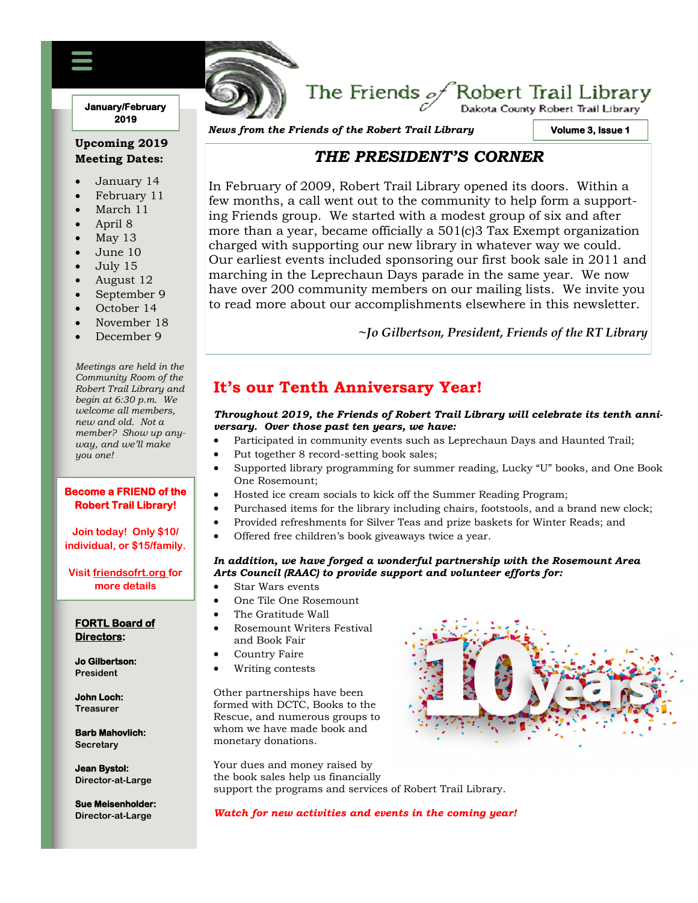### **January/February 2019**

## **Upcoming 2019 Meeting Dates:**

- January 14
- February 11
- March 11
- April 8
- May 13
- June 10
- July 15
- August 12
- September 9
- October 14
- November 18
- December 9

*Meetings are held in the Community Room of the Robert Trail Library and begin at 6:30 p.m. We welcome all members, new and old. Not a member? Show up anyway, and we'll make you one!*

#### **Become a FRIEND of the Robert Trail Library!**

**Join today! Only \$10/ individual, or \$15/family.**

**Visit friendsofrt.org for more details**

#### **FORTL Board of Directors:**

**Jo Gilbertson: President**

**John Loch: Treasurer**

**Barb Mahovlich: Secretary**

**Jean Bystol: Director-at-Large**

**Sue Meisenholder: Director-at-Large**

*News from the Friends of the Robert Trail Library*

FRIENDS OF THE ROBERT TRAIL LIBRARY NEWSFILM

**Volume 3, Issue 1** 

.<br>Dakota County Robert Trail Library

## *THE PRESIDENT'S CORNER*

The Friends  $\mathscr{A}$ Robert Trail Library

In February of 2009, Robert Trail Library opened its doors. Within a few months, a call went out to the community to help form a supporting Friends group. We started with a modest group of six and after more than a year, became officially a 501(c)3 Tax Exempt organization charged with supporting our new library in whatever way we could. Our earliest events included sponsoring our first book sale in 2011 and marching in the Leprechaun Days parade in the same year. We now have over 200 community members on our mailing lists. We invite you to read more about our accomplishments elsewhere in this newsletter.

**~***Jo Gilbertson, President, Friends of the RT Library*

# **It's our Tenth Anniversary Year!**

### *Throughout 2019, the Friends of Robert Trail Library will celebrate its tenth anniversary. Over those past ten years, we have:*

- Participated in community events such as Leprechaun Days and Haunted Trail;
- Put together 8 record-setting book sales;
- Supported library programming for summer reading, Lucky "U" books, and One Book One Rosemount;
- Hosted ice cream socials to kick off the Summer Reading Program;
- Purchased items for the library including chairs, footstools, and a brand new clock;
- x Provided refreshments for Silver Teas and prize baskets for Winter Reads; and
- Offered free children's book giveaways twice a year.

### *In addition, we have forged a wonderful partnership with the Rosemount Area Arts Council (RAAC) to provide support and volunteer efforts for:*

- Star Wars events
- x One Tile One Rosemount
- The Gratitude Wall
- Rosemount Writers Festival and Book Fair
- Country Faire
- Writing contests

Other partnerships have been formed with DCTC, Books to the Rescue, and numerous groups to whom we have made book and monetary donations.

Your dues and money raised by the book sales help us financially support the programs and services of Robert Trail Library.

*Watch for new activities and events in the coming year!*